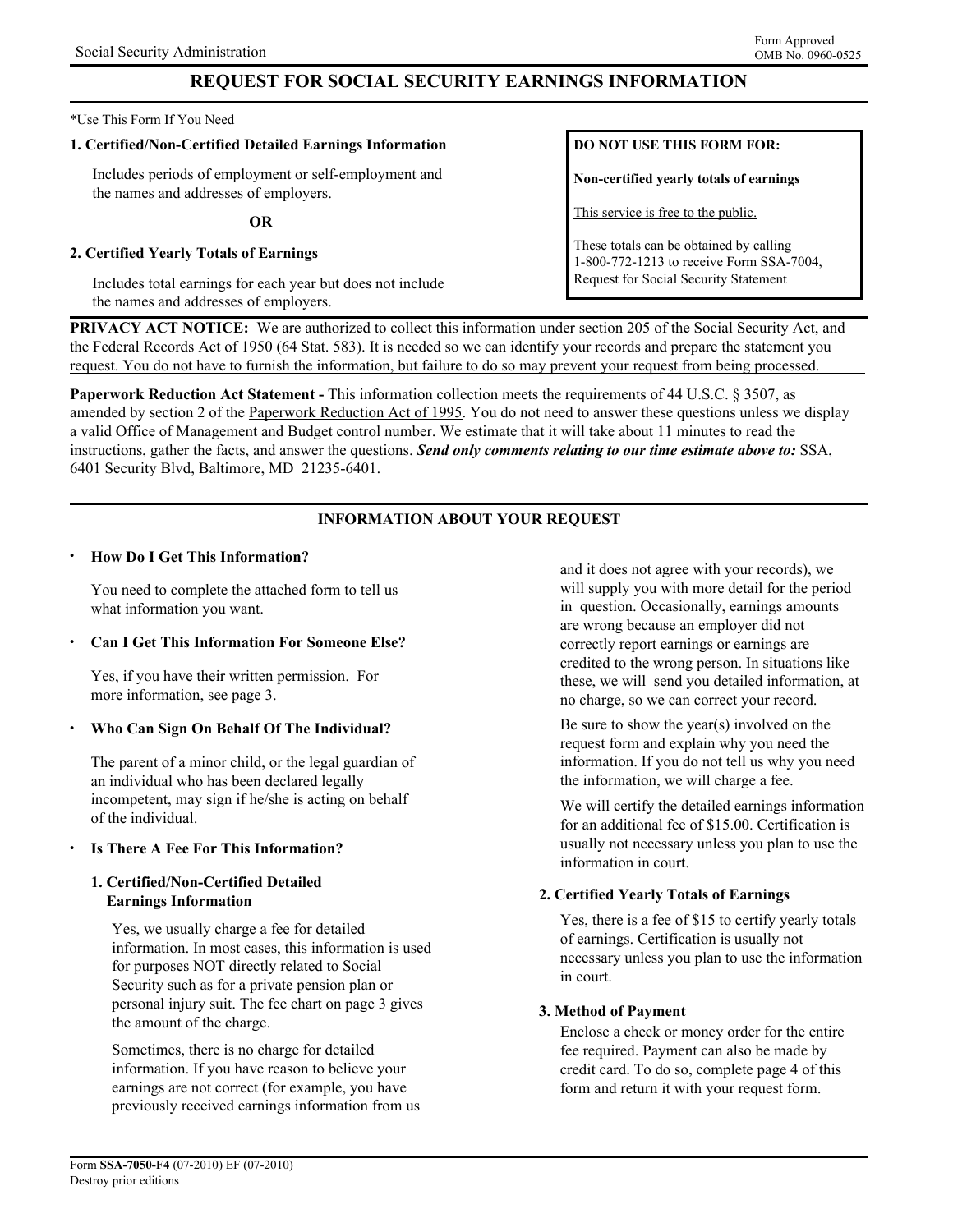# **REQUEST FOR SOCIAL SECURITY EARNINGS INFORMATION**

#### \*Use This Form If You Need

#### **1. Certified/Non-Certified Detailed Earnings Information**

Includes periods of employment or self-employment and the names and addresses of employers.

**OR**

## **2. Certified Yearly Totals of Earnings**

Includes total earnings for each year but does not include the names and addresses of employers.

# **DO NOT USE THIS FORM FOR:**

**Non-certified yearly totals of earnings** 

This service is free to the public.

These totals can be obtained by calling 1-800-772-1213 to receive Form SSA-7004, Request for Social Security Statement

**PRIVACY ACT NOTICE:** We are authorized to collect this information under section 205 of the Social Security Act, and the Federal Records Act of 1950 (64 Stat. 583). It is needed so we can identify your records and prepare the statement you request. You do not have to furnish the information, but failure to do so may prevent your request from being processed.

**Paperwork Reduction Act Statement -** This information collection meets the requirements of 44 U.S.C. § 3507, as amended by section 2 of the Paperwork Reduction Act of 1995. You do not need to answer these questions unless we display a valid Office of Management and Budget control number. We estimate that it will take about 11 minutes to read the instructions, gather the facts, and answer the questions. *Send only comments relating to our time estimate above to:* SSA, 6401 Security Blvd, Baltimore, MD 21235-6401.

# **INFORMATION ABOUT YOUR REQUEST**

#### • **How Do I Get This Information?**

You need to complete the attached form to tell us what information you want.

## • **Can I Get This Information For Someone Else?**

Yes, if you have their written permission. For more information, see page 3.

## • **Who Can Sign On Behalf Of The Individual?**

The parent of a minor child, or the legal guardian of an individual who has been declared legally incompetent, may sign if he/she is acting on behalf of the individual.

## • **Is There A Fee For This Information?**

## **1. Certified/Non-Certified Detailed Earnings Information**

Yes, we usually charge a fee for detailed information. In most cases, this information is used for purposes NOT directly related to Social Security such as for a private pension plan or personal injury suit. The fee chart on page 3 gives the amount of the charge.

Sometimes, there is no charge for detailed information. If you have reason to believe your earnings are not correct (for example, you have previously received earnings information from us and it does not agree with your records), we will supply you with more detail for the period in question. Occasionally, earnings amounts are wrong because an employer did not correctly report earnings or earnings are credited to the wrong person. In situations like these, we will send you detailed information, at no charge, so we can correct your record.

Be sure to show the year(s) involved on the request form and explain why you need the information. If you do not tell us why you need the information, we will charge a fee.

We will certify the detailed earnings information for an additional fee of \$15.00. Certification is usually not necessary unless you plan to use the information in court.

# **2. Certified Yearly Totals of Earnings**

Yes, there is a fee of \$15 to certify yearly totals of earnings. Certification is usually not necessary unless you plan to use the information in court.

## **3. Method of Payment**

Enclose a check or money order for the entire fee required. Payment can also be made by credit card. To do so, complete page 4 of this form and return it with your request form.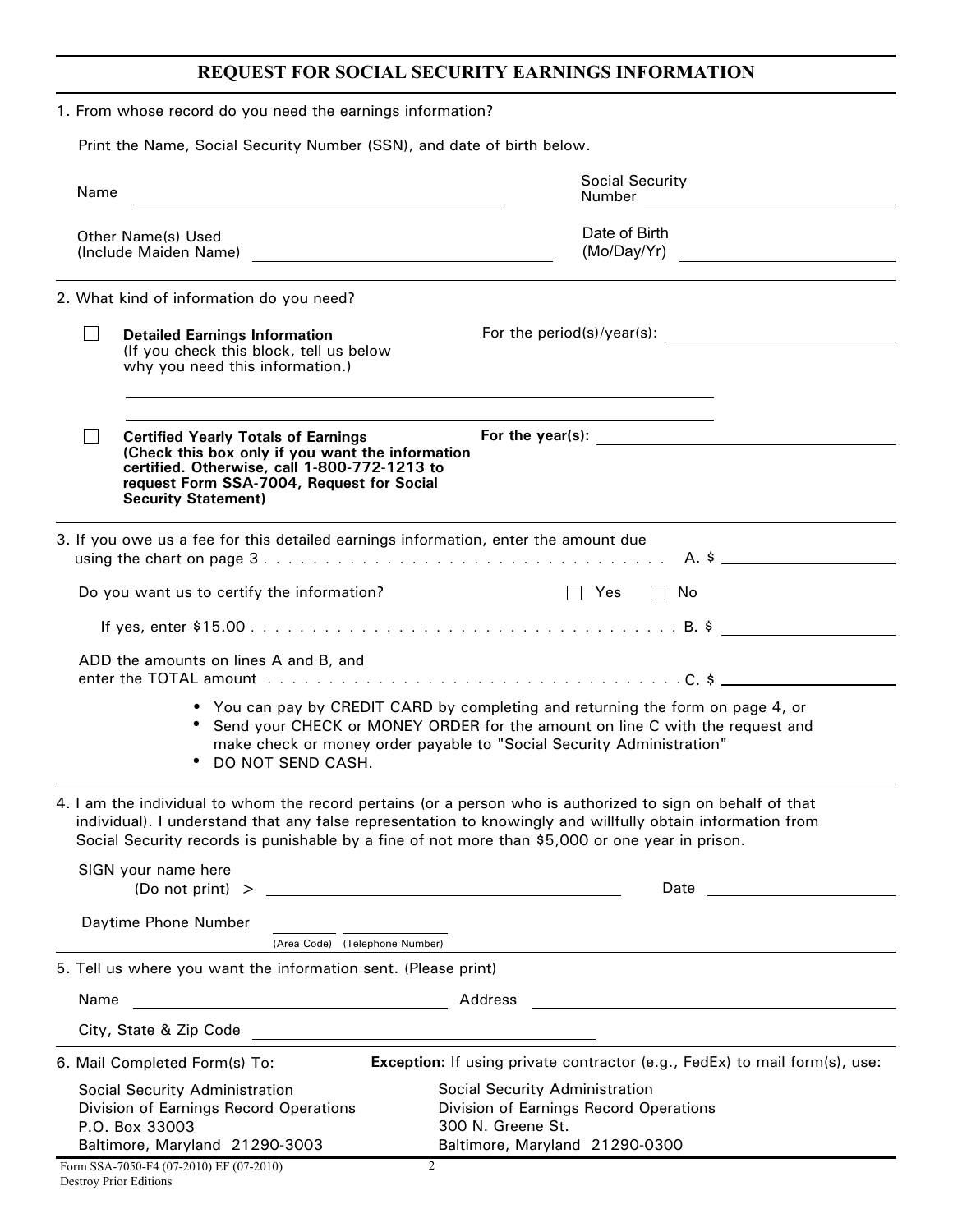# **REQUEST FOR SOCIAL SECURITY EARNINGS INFORMATION**

|  | 1. From whose record do you need the earnings information?                                                                   |                                                                                                                                                                                                                                                                                                                                                     |                                                                                                                                                                   |  |  |  |
|--|------------------------------------------------------------------------------------------------------------------------------|-----------------------------------------------------------------------------------------------------------------------------------------------------------------------------------------------------------------------------------------------------------------------------------------------------------------------------------------------------|-------------------------------------------------------------------------------------------------------------------------------------------------------------------|--|--|--|
|  |                                                                                                                              | Print the Name, Social Security Number (SSN), and date of birth below.                                                                                                                                                                                                                                                                              |                                                                                                                                                                   |  |  |  |
|  | Name                                                                                                                         |                                                                                                                                                                                                                                                                                                                                                     | Social Security                                                                                                                                                   |  |  |  |
|  |                                                                                                                              | <b>Other Name(s) Used</b>                                                                                                                                                                                                                                                                                                                           | Date of Birth<br>(Mo/Day/Yr)                                                                                                                                      |  |  |  |
|  |                                                                                                                              | 2. What kind of information do you need?                                                                                                                                                                                                                                                                                                            |                                                                                                                                                                   |  |  |  |
|  |                                                                                                                              | <b>Detailed Earnings Information</b><br>(If you check this block, tell us below<br>why you need this information.)<br>,我们也不会有什么。""我们的人,我们也不会有什么?""我们的人,我们也不会有什么?""我们的人,我们也不会有什么?""我们的人,我们也不会有什么?""我们的人                                                                                                                                              |                                                                                                                                                                   |  |  |  |
|  |                                                                                                                              | <b>Certified Yearly Totals of Earnings</b><br>(Check this box only if you want the information<br>certified. Otherwise, call 1-800-772-1213 to<br>request Form SSA-7004, Request for Social<br><b>Security Statement)</b>                                                                                                                           | For the year(s): $\qquad \qquad$                                                                                                                                  |  |  |  |
|  |                                                                                                                              | 3. If you owe us a fee for this detailed earnings information, enter the amount due                                                                                                                                                                                                                                                                 |                                                                                                                                                                   |  |  |  |
|  |                                                                                                                              | Do you want us to certify the information?                                                                                                                                                                                                                                                                                                          | $\Box$ Yes $\Box$ No                                                                                                                                              |  |  |  |
|  |                                                                                                                              |                                                                                                                                                                                                                                                                                                                                                     |                                                                                                                                                                   |  |  |  |
|  |                                                                                                                              | ADD the amounts on lines A and B, and<br>make check or money order payable to "Social Security Administration"<br>DO NOT SEND CASH.                                                                                                                                                                                                                 | • You can pay by CREDIT CARD by completing and returning the form on page 4, or<br>• Send your CHECK or MONEY ORDER for the amount on line C with the request and |  |  |  |
|  |                                                                                                                              | 4. I am the individual to whom the record pertains (or a person who is authorized to sign on behalf of that<br>individual). I understand that any false representation to knowingly and willfully obtain information from<br>Social Security records is punishable by a fine of not more than \$5,000 or one year in prison.<br>SIGN your name here |                                                                                                                                                                   |  |  |  |
|  |                                                                                                                              |                                                                                                                                                                                                                                                                                                                                                     | Date                                                                                                                                                              |  |  |  |
|  |                                                                                                                              | Daytime Phone Number                                                                                                                                                                                                                                                                                                                                | (Area Code) (Telephone Number)                                                                                                                                    |  |  |  |
|  | 5. Tell us where you want the information sent. (Please print)                                                               |                                                                                                                                                                                                                                                                                                                                                     |                                                                                                                                                                   |  |  |  |
|  | Name<br><u> 1989 - Johann Barbara, martin amerikan basal dan berasal dan berasal dalam basal dan berasal dan berasal dan</u> |                                                                                                                                                                                                                                                                                                                                                     |                                                                                                                                                                   |  |  |  |
|  |                                                                                                                              |                                                                                                                                                                                                                                                                                                                                                     |                                                                                                                                                                   |  |  |  |
|  |                                                                                                                              | 6. Mail Completed Form(s) To:                                                                                                                                                                                                                                                                                                                       | Exception: If using private contractor (e.g., FedEx) to mail form(s), use:                                                                                        |  |  |  |
|  |                                                                                                                              | Social Security Administration<br>Division of Earnings Record Operations<br>P.O. Box 33003<br>Baltimore, Maryland 21290-3003                                                                                                                                                                                                                        | Social Security Administration<br>Division of Earnings Record Operations<br>300 N. Greene St.<br>Baltimore, Maryland 21290-0300                                   |  |  |  |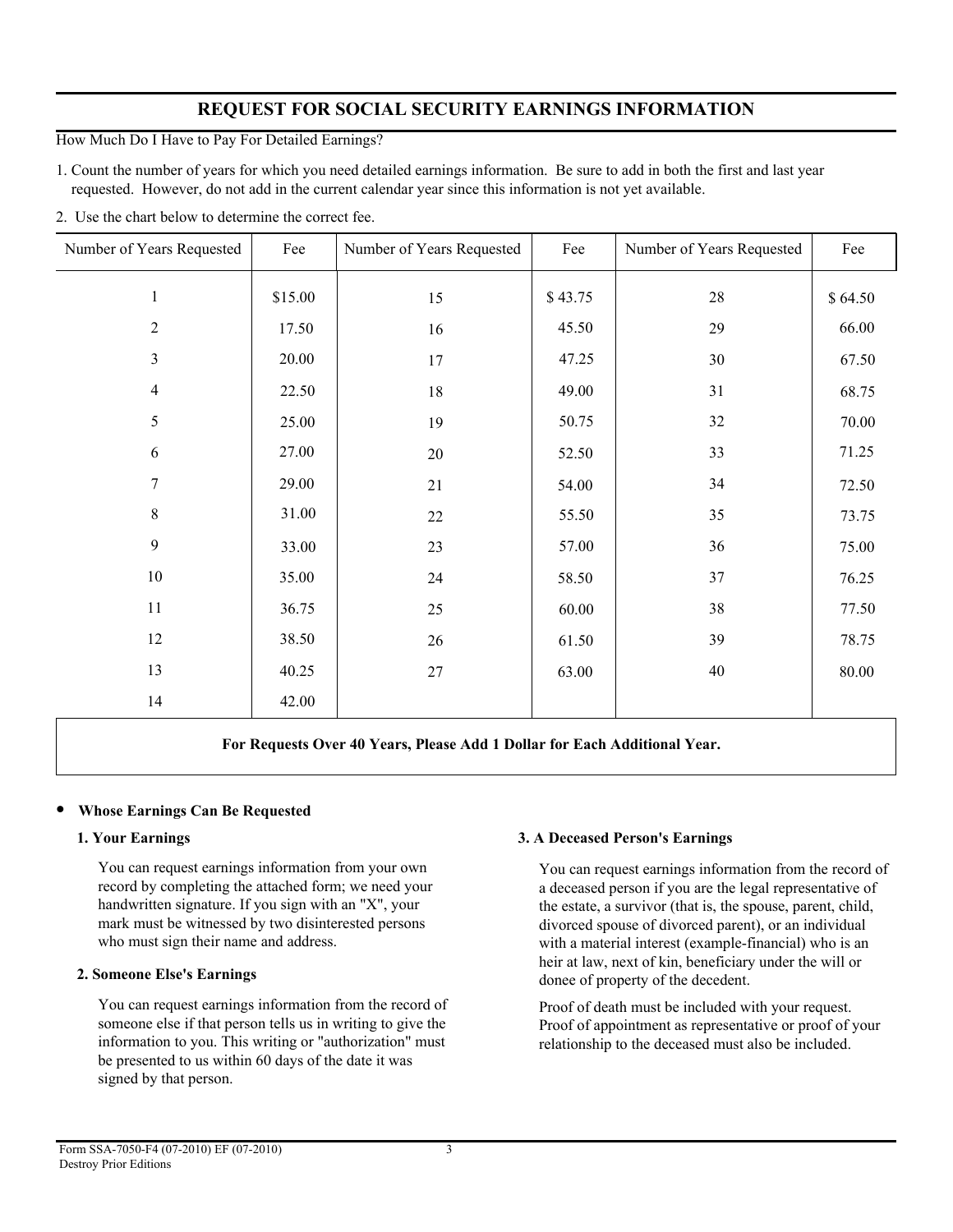# **REQUEST FOR SOCIAL SECURITY EARNINGS INFORMATION**

How Much Do I Have to Pay For Detailed Earnings?

1. Count the number of years for which you need detailed earnings information. Be sure to add in both the first and last year requested. However, do not add in the current calendar year since this information is not yet available.

2. Use the chart below to determine the correct fee.

| Number of Years Requested | Fee     | Number of Years Requested | Fee     | Number of Years Requested | Fee     |
|---------------------------|---------|---------------------------|---------|---------------------------|---------|
| $\,1\,$                   | \$15.00 | 15                        | \$43.75 | $28\,$                    | \$64.50 |
| $\sqrt{2}$                | 17.50   | 16                        | 45.50   | 29                        | 66.00   |
| $\mathfrak{Z}$            | 20.00   | 17                        | 47.25   | 30                        | 67.50   |
| $\overline{4}$            | 22.50   | $18\,$                    | 49.00   | 31                        | 68.75   |
| 5                         | 25.00   | 19                        | 50.75   | 32                        | 70.00   |
| 6                         | 27.00   | $20\,$                    | 52.50   | 33                        | 71.25   |
| $\tau$                    | 29.00   | 21                        | 54.00   | 34                        | 72.50   |
| $\,8\,$                   | 31.00   | $22\,$                    | 55.50   | 35                        | 73.75   |
| 9                         | 33.00   | 23                        | 57.00   | 36                        | 75.00   |
| 10                        | 35.00   | 24                        | 58.50   | 37                        | 76.25   |
| 11                        | 36.75   | $25\,$                    | 60.00   | 38                        | 77.50   |
| 12                        | 38.50   | 26                        | 61.50   | 39                        | 78.75   |
| 13                        | 40.25   | $27\,$                    | 63.00   | $40\,$                    | 80.00   |
| 14                        | 42.00   |                           |         |                           |         |
|                           |         |                           |         |                           |         |

**For Requests Over 40 Years, Please Add 1 Dollar for Each Additional Year.**

# • **Whose Earnings Can Be Requested**

# **1. Your Earnings**

You can request earnings information from your own record by completing the attached form; we need your handwritten signature. If you sign with an "X", your mark must be witnessed by two disinterested persons who must sign their name and address.

# **2. Someone Else's Earnings**

You can request earnings information from the record of someone else if that person tells us in writing to give the information to you. This writing or "authorization" must be presented to us within 60 days of the date it was signed by that person.

# **3. A Deceased Person's Earnings**

You can request earnings information from the record of a deceased person if you are the legal representative of the estate, a survivor (that is, the spouse, parent, child, divorced spouse of divorced parent), or an individual with a material interest (example-financial) who is an heir at law, next of kin, beneficiary under the will or donee of property of the decedent.

Proof of death must be included with your request. Proof of appointment as representative or proof of your relationship to the deceased must also be included.